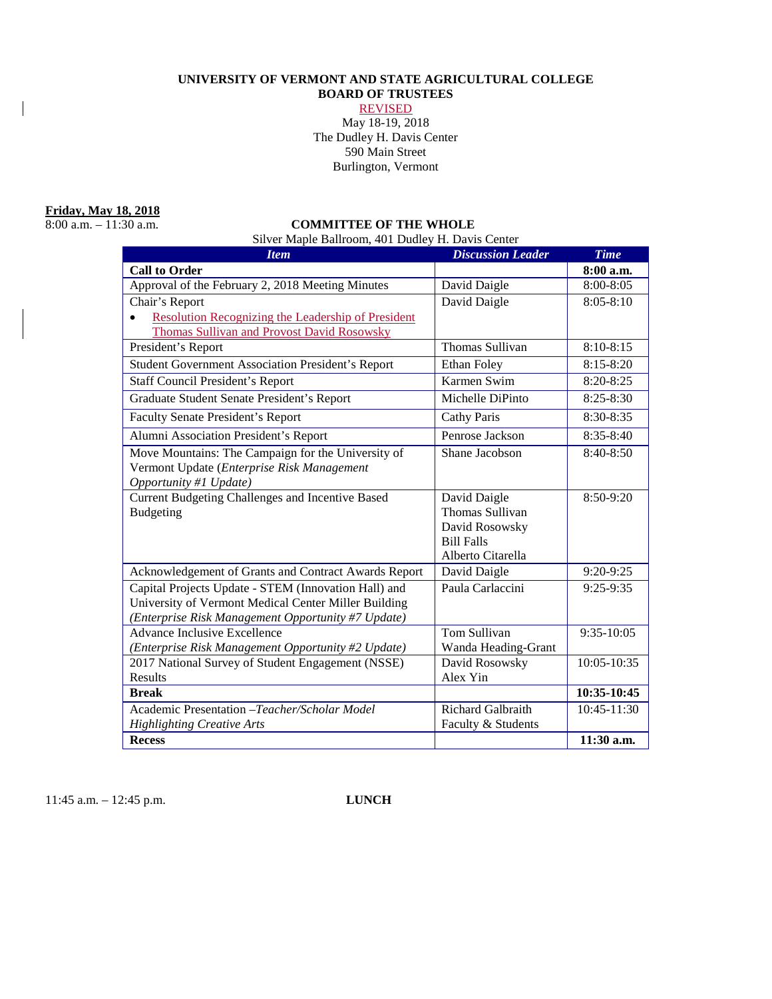#### **UNIVERSITY OF VERMONT AND STATE AGRICULTURAL COLLEGE BOARD OF TRUSTEES** REVISED

May 18-19, 2018 The Dudley H. Davis Center 590 Main Street Burlington, Vermont

**Friday, May 18, 2018**<br>8:00 a.m. – 11:30 a.m.

#### COMMITTEE OF THE WHOLE

Silver Maple Ballroom, 401 Dudley H. Davis Center

| <b>Item</b>                                                            | <b>Discussion Leader</b> | <b>Time</b>   |
|------------------------------------------------------------------------|--------------------------|---------------|
| <b>Call to Order</b>                                                   |                          | 8:00 a.m.     |
| Approval of the February 2, 2018 Meeting Minutes                       | David Daigle             | 8:00-8:05     |
| Chair's Report                                                         | David Daigle             | $8:05 - 8:10$ |
| <b>Resolution Recognizing the Leadership of President</b><br>$\bullet$ |                          |               |
| Thomas Sullivan and Provost David Rosowsky                             |                          |               |
| President's Report                                                     | Thomas Sullivan          | $8:10-8:15$   |
| Student Government Association President's Report                      | Ethan Foley              | $8:15 - 8:20$ |
| <b>Staff Council President's Report</b>                                | Karmen Swim              | $8:20 - 8:25$ |
| Graduate Student Senate President's Report                             | Michelle DiPinto         | 8:25-8:30     |
| <b>Faculty Senate President's Report</b>                               | Cathy Paris              | $8:30 - 8:35$ |
| Alumni Association President's Report                                  | Penrose Jackson          | 8:35-8:40     |
| Move Mountains: The Campaign for the University of                     | Shane Jacobson           | 8:40-8:50     |
| Vermont Update (Enterprise Risk Management                             |                          |               |
| Opportunity #1 Update)                                                 |                          |               |
| Current Budgeting Challenges and Incentive Based                       | David Daigle             | 8:50-9:20     |
| <b>Budgeting</b>                                                       | Thomas Sullivan          |               |
|                                                                        | David Rosowsky           |               |
|                                                                        | <b>Bill Falls</b>        |               |
|                                                                        | Alberto Citarella        |               |
| Acknowledgement of Grants and Contract Awards Report                   | David Daigle             | $9:20-9:25$   |
| Capital Projects Update - STEM (Innovation Hall) and                   | Paula Carlaccini         | $9:25-9:35$   |
| University of Vermont Medical Center Miller Building                   |                          |               |
| (Enterprise Risk Management Opportunity #7 Update)                     |                          |               |
| <b>Advance Inclusive Excellence</b>                                    | Tom Sullivan             | 9:35-10:05    |
| (Enterprise Risk Management Opportunity #2 Update)                     | Wanda Heading-Grant      |               |
| 2017 National Survey of Student Engagement (NSSE)                      | David Rosowsky           | 10:05-10:35   |
| Results                                                                | Alex Yin                 |               |
| <b>Break</b>                                                           |                          | 10:35-10:45   |
| Academic Presentation -Teacher/Scholar Model                           | <b>Richard Galbraith</b> | 10:45-11:30   |
| <b>Highlighting Creative Arts</b>                                      | Faculty & Students       |               |
| <b>Recess</b>                                                          |                          | $11:30$ a.m.  |

11:45 a.m. – 12:45 p.m. **LUNCH**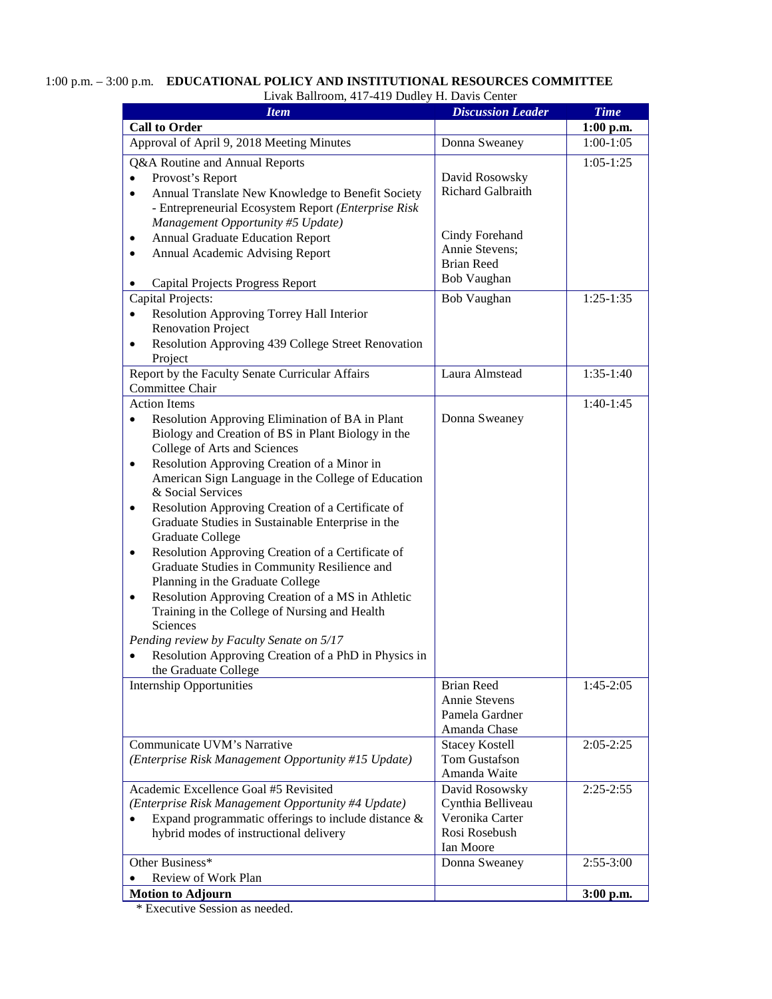#### 1:00 p.m. – 3:00 p.m. **EDUCATIONAL POLICY AND INSTITUTIONAL RESOURCES COMMITTEE**  Livak Ballroom, 417-419 Dudley H. Davis Center

| $\mu$ and $\mu$ , $\mu$ , $\mu$ , $\mu$ is a set of $\mu$<br><b>Item</b>                  | <b>Discussion Leader</b>            | <b>Time</b>   |
|-------------------------------------------------------------------------------------------|-------------------------------------|---------------|
| <b>Call to Order</b>                                                                      |                                     | 1:00 p.m.     |
| Approval of April 9, 2018 Meeting Minutes                                                 | Donna Sweaney                       | $1:00-1:05$   |
| Q&A Routine and Annual Reports                                                            |                                     | $1:05-1:25$   |
| Provost's Report<br>$\bullet$                                                             | David Rosowsky                      |               |
| Annual Translate New Knowledge to Benefit Society<br>$\bullet$                            | Richard Galbraith                   |               |
| - Entrepreneurial Ecosystem Report (Enterprise Risk                                       |                                     |               |
| Management Opportunity #5 Update)                                                         |                                     |               |
| <b>Annual Graduate Education Report</b><br>٠                                              | Cindy Forehand                      |               |
| Annual Academic Advising Report                                                           | Annie Stevens;<br><b>Brian Reed</b> |               |
|                                                                                           | Bob Vaughan                         |               |
| Capital Projects Progress Report<br>٠<br>Capital Projects:                                | Bob Vaughan                         | $1:25-1:35$   |
| Resolution Approving Torrey Hall Interior<br>$\bullet$                                    |                                     |               |
| <b>Renovation Project</b>                                                                 |                                     |               |
| Resolution Approving 439 College Street Renovation<br>$\bullet$                           |                                     |               |
| Project                                                                                   |                                     |               |
| Report by the Faculty Senate Curricular Affairs                                           | Laura Almstead                      | $1:35-1:40$   |
| Committee Chair                                                                           |                                     |               |
| <b>Action Items</b>                                                                       |                                     | $1:40-1:45$   |
| Resolution Approving Elimination of BA in Plant<br>$\bullet$                              | Donna Sweaney                       |               |
| Biology and Creation of BS in Plant Biology in the<br>College of Arts and Sciences        |                                     |               |
| Resolution Approving Creation of a Minor in<br>$\bullet$                                  |                                     |               |
| American Sign Language in the College of Education                                        |                                     |               |
| & Social Services                                                                         |                                     |               |
| Resolution Approving Creation of a Certificate of<br>$\bullet$                            |                                     |               |
| Graduate Studies in Sustainable Enterprise in the                                         |                                     |               |
| <b>Graduate College</b><br>Resolution Approving Creation of a Certificate of<br>$\bullet$ |                                     |               |
| Graduate Studies in Community Resilience and                                              |                                     |               |
| Planning in the Graduate College                                                          |                                     |               |
| Resolution Approving Creation of a MS in Athletic<br>$\bullet$                            |                                     |               |
| Training in the College of Nursing and Health                                             |                                     |               |
| Sciences                                                                                  |                                     |               |
| Pending review by Faculty Senate on 5/17                                                  |                                     |               |
| Resolution Approving Creation of a PhD in Physics in<br>$\bullet$                         |                                     |               |
| the Graduate College<br><b>Internship Opportunities</b>                                   | <b>Brian Reed</b>                   |               |
|                                                                                           | <b>Annie Stevens</b>                | $1:45-2:05$   |
|                                                                                           | Pamela Gardner                      |               |
|                                                                                           | Amanda Chase                        |               |
| Communicate UVM's Narrative                                                               | <b>Stacey Kostell</b>               | $2:05 - 2:25$ |
| (Enterprise Risk Management Opportunity #15 Update)                                       | Tom Gustafson                       |               |
|                                                                                           | Amanda Waite                        |               |
| Academic Excellence Goal #5 Revisited                                                     | David Rosowsky                      | $2:25-2:55$   |
| (Enterprise Risk Management Opportunity #4 Update)                                        | Cynthia Belliveau                   |               |
| Expand programmatic offerings to include distance $\&$                                    | Veronika Carter<br>Rosi Rosebush    |               |
| hybrid modes of instructional delivery                                                    | Ian Moore                           |               |
| Other Business*                                                                           | Donna Sweaney                       | $2:55-3:00$   |
| Review of Work Plan                                                                       |                                     |               |
| <b>Motion to Adjourn</b>                                                                  |                                     | 3:00 p.m.     |

\* Executive Session as needed.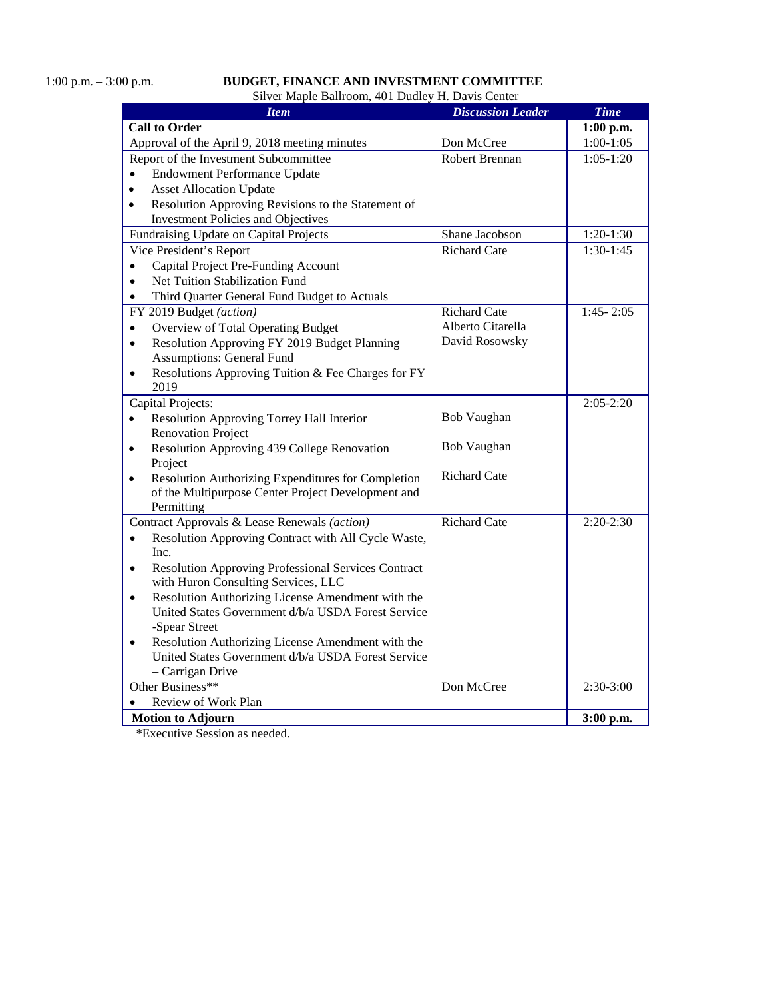# 1:00 p.m. – 3:00 p.m. **BUDGET, FINANCE AND INVESTMENT COMMITTEE**

Silver Maple Ballroom, 401 Dudley H. Davis Center

| Shver Maple Banfooni, 401 Badiey 11. Bavis Cente<br><b>Item</b>                                                      | <b>Discussion Leader</b> | <b>Time</b>   |
|----------------------------------------------------------------------------------------------------------------------|--------------------------|---------------|
| <b>Call to Order</b>                                                                                                 |                          | 1:00 p.m.     |
| Approval of the April 9, 2018 meeting minutes                                                                        | Don McCree               | $1:00-1:05$   |
| Report of the Investment Subcommittee                                                                                | Robert Brennan           | $1:05-1:20$   |
| <b>Endowment Performance Update</b>                                                                                  |                          |               |
| <b>Asset Allocation Update</b><br>$\bullet$                                                                          |                          |               |
| Resolution Approving Revisions to the Statement of<br>$\bullet$                                                      |                          |               |
| <b>Investment Policies and Objectives</b>                                                                            |                          |               |
| Fundraising Update on Capital Projects                                                                               | Shane Jacobson           | $1:20-1:30$   |
| Vice President's Report                                                                                              | <b>Richard Cate</b>      | $1:30-1:45$   |
| Capital Project Pre-Funding Account<br>$\bullet$                                                                     |                          |               |
| <b>Net Tuition Stabilization Fund</b><br>$\bullet$                                                                   |                          |               |
| Third Quarter General Fund Budget to Actuals<br>$\bullet$                                                            |                          |               |
| FY 2019 Budget (action)                                                                                              | <b>Richard Cate</b>      | $1:45 - 2:05$ |
| Overview of Total Operating Budget<br>$\bullet$                                                                      | Alberto Citarella        |               |
| Resolution Approving FY 2019 Budget Planning<br>$\bullet$                                                            | David Rosowsky           |               |
| <b>Assumptions: General Fund</b>                                                                                     |                          |               |
| Resolutions Approving Tuition & Fee Charges for FY<br>$\bullet$                                                      |                          |               |
| 2019                                                                                                                 |                          |               |
| Capital Projects:                                                                                                    |                          | $2:05 - 2:20$ |
| Resolution Approving Torrey Hall Interior<br>$\bullet$                                                               | Bob Vaughan              |               |
| <b>Renovation Project</b>                                                                                            |                          |               |
| Resolution Approving 439 College Renovation<br>$\bullet$                                                             | Bob Vaughan              |               |
| Project                                                                                                              |                          |               |
| Resolution Authorizing Expenditures for Completion<br>$\bullet$                                                      | <b>Richard Cate</b>      |               |
| of the Multipurpose Center Project Development and                                                                   |                          |               |
| Permitting                                                                                                           |                          |               |
| Contract Approvals & Lease Renewals (action)                                                                         | <b>Richard Cate</b>      | $2:20-2:30$   |
| Resolution Approving Contract with All Cycle Waste,<br>$\bullet$                                                     |                          |               |
| Inc.                                                                                                                 |                          |               |
| <b>Resolution Approving Professional Services Contract</b><br>$\bullet$                                              |                          |               |
| with Huron Consulting Services, LLC                                                                                  |                          |               |
| Resolution Authorizing License Amendment with the<br>$\bullet$<br>United States Government d/b/a USDA Forest Service |                          |               |
| -Spear Street                                                                                                        |                          |               |
| Resolution Authorizing License Amendment with the                                                                    |                          |               |
| United States Government d/b/a USDA Forest Service                                                                   |                          |               |
| - Carrigan Drive                                                                                                     |                          |               |
| Other Business**                                                                                                     | Don McCree               | $2:30-3:00$   |
| Review of Work Plan                                                                                                  |                          |               |
| <b>Motion to Adjourn</b>                                                                                             |                          | 3:00 p.m.     |

\*Executive Session as needed.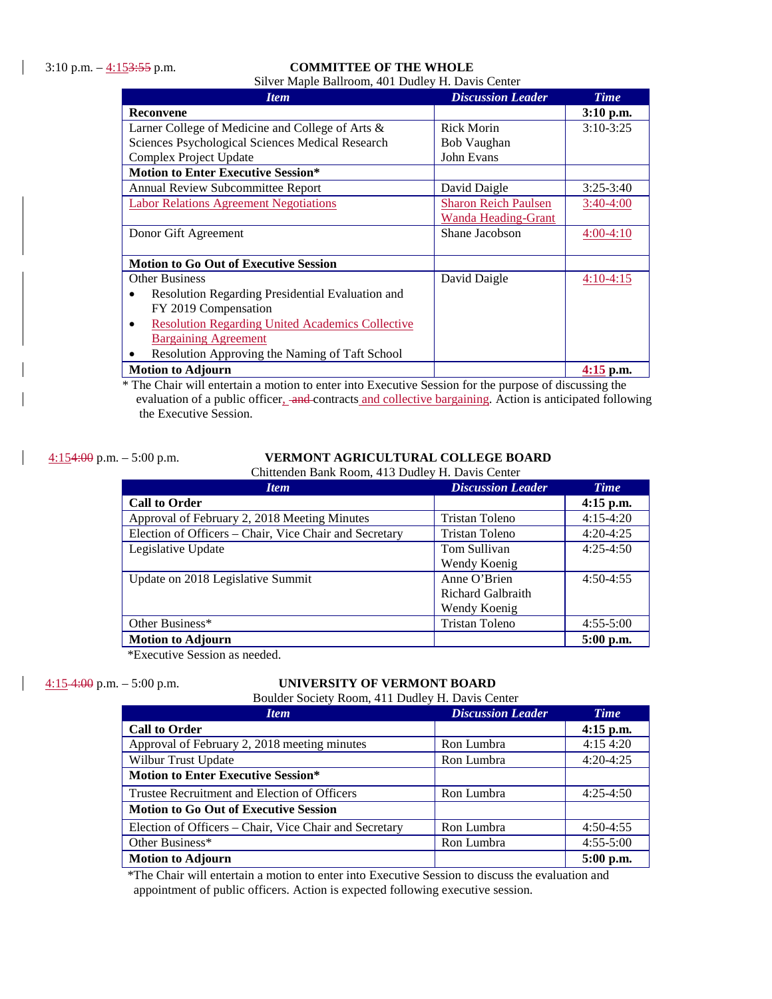#### 3:10 p.m. – 4:153:55 p.m. **COMMITTEE OF THE WHOLE**

Silver Maple Ballroom, 401 Dudley H. Davis Center

| <b>Item</b>                                                  | <b>Discussion Leader</b>    | <b>Time</b> |
|--------------------------------------------------------------|-----------------------------|-------------|
| <b>Reconvene</b>                                             |                             | $3:10$ p.m. |
| Larner College of Medicine and College of Arts &             | <b>Rick Morin</b>           | $3:10-3:25$ |
| Sciences Psychological Sciences Medical Research             | <b>Bob Vaughan</b>          |             |
| Complex Project Update                                       | John Evans                  |             |
| <b>Motion to Enter Executive Session*</b>                    |                             |             |
| Annual Review Subcommittee Report                            | David Daigle                | $3:25-3:40$ |
| <b>Labor Relations Agreement Negotiations</b>                | <b>Sharon Reich Paulsen</b> | $3:40-4:00$ |
|                                                              | Wanda Heading-Grant         |             |
| Donor Gift Agreement                                         | Shane Jacobson              | $4:00-4:10$ |
|                                                              |                             |             |
| <b>Motion to Go Out of Executive Session</b>                 |                             |             |
| <b>Other Business</b>                                        | David Daigle                | $4:10-4:15$ |
| Resolution Regarding Presidential Evaluation and<br>٠        |                             |             |
| FY 2019 Compensation                                         |                             |             |
| <b>Resolution Regarding United Academics Collective</b><br>٠ |                             |             |
| <b>Bargaining Agreement</b>                                  |                             |             |
| Resolution Approving the Naming of Taft School               |                             |             |
| <b>Motion to Adjourn</b>                                     |                             | $4:15$ p.m. |

 \* The Chair will entertain a motion to enter into Executive Session for the purpose of discussing the evaluation of a public officer, and contracts and collective bargaining. Action is anticipated following the Executive Session.

## 4:154:00 p.m. – 5:00 p.m. **VERMONT AGRICULTURAL COLLEGE BOARD**

Chittenden Bank Room, 413 Dudley H. Davis Center

| <b>Item</b>                                            | <b>Discussion Leader</b> | <b>Time</b> |
|--------------------------------------------------------|--------------------------|-------------|
| <b>Call to Order</b>                                   |                          | $4:15$ p.m. |
| Approval of February 2, 2018 Meeting Minutes           | Tristan Toleno           | $4:15-4:20$ |
| Election of Officers – Chair, Vice Chair and Secretary | <b>Tristan Toleno</b>    | $4:20-4:25$ |
| Legislative Update                                     | Tom Sullivan             | $4:25-4:50$ |
|                                                        | Wendy Koenig             |             |
| Update on 2018 Legislative Summit                      | Anne O'Brien             | $4:50-4:55$ |
|                                                        | Richard Galbraith        |             |
|                                                        | Wendy Koenig             |             |
| Other Business*                                        | <b>Tristan Toleno</b>    | $4:55-5:00$ |
| <b>Motion to Adjourn</b>                               |                          | $5:00$ p.m. |

\*Executive Session as needed.

## 4:15 4:00 p.m. – 5:00 p.m. **UNIVERSITY OF VERMONT BOARD**

Boulder Society Room, 411 Dudley H. Davis Center

| <b>Item</b>                                            | <b>Discussion Leader</b> | <b>Time</b> |
|--------------------------------------------------------|--------------------------|-------------|
| <b>Call to Order</b>                                   |                          | $4:15$ p.m. |
| Approval of February 2, 2018 meeting minutes           | Ron Lumbra               | 4:154:20    |
| Wilbur Trust Update                                    | Ron Lumbra               | $4:20-4:25$ |
| <b>Motion to Enter Executive Session*</b>              |                          |             |
| Trustee Recruitment and Election of Officers           | Ron Lumbra               | $4:25-4:50$ |
| <b>Motion to Go Out of Executive Session</b>           |                          |             |
| Election of Officers – Chair, Vice Chair and Secretary | Ron Lumbra               | $4:50-4:55$ |
| Other Business*                                        | Ron Lumbra               | $4:55-5:00$ |
| <b>Motion to Adjourn</b>                               |                          | 5:00 p.m.   |

\*The Chair will entertain a motion to enter into Executive Session to discuss the evaluation and appointment of public officers. Action is expected following executive session.